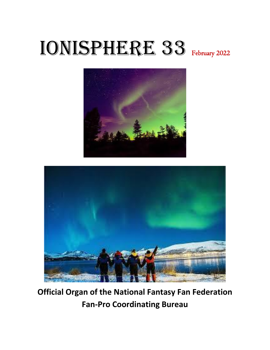# IONISPHERE 33 February 2022





**Official Organ of the National Fantasy Fan Federation Fan-Pro Coordinating Bureau**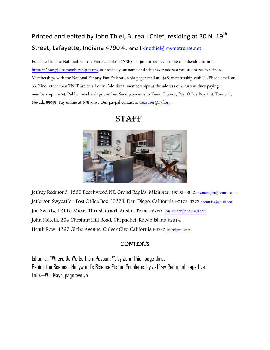## Printed and edited by John Thiel, Bureau Chief, residing at 30 N. 19<sup>th</sup> Street, Lafayette, Indiana 4790 4. emai[l kinethiel@mymetronet.net](mailto:kinethiel@mymetronet.net) .

Published for the National Fantasy Fan Federation (N3F). To join or renew, use the membership form at <http://n3f.org/join/membership-form/> to provide your name and whichever address you use to receive zines. Memberships with the National Fantasy Fan Federation via paper mail are \$18; membership with TNFF via email are \$6. Zines other than TNFF are email only. Additional memberships at the address of a current dues-paying membership are \$4. Public memberships are free. Send payments to Kevin Trainor, Post Office Box 143, Tonopah, Nevada 89049. Pay online at N3F.org . Our paypal contact is [treasurer@n3f.org](mailto:treasurer@n3f.org) .



### **STAFF**

Jeffrey Redmond, 1335 Beechwood NE, Grand Rapids, Michigan 49505-3830. [redmondjeff@hotmail.com](mailto:redmondjeff@hotmail.com). Jefferson Swycaffer, Post Office Box 15373, Dan Diego, California 92175-5373[. abontides@gmail.con](mailto:abontides@gmail.con). Jon Swartz, 12115 Missel Thrush Court, Austin, Texas 78750. [jon\\_swartz@hotmail.com](mailto:jon_swartz@hotmail.com) John Polselli, 264 Chestnut Hill Road, Chepachet, Rhode Island 02814. Heath Row, 4367 Globe Avenue, Culver City, California 90230. [kalel@well.com](mailto:kalel@well.com).

### **CONTENTS**

Editorial, "Where Do We Go from Possum?", by John Thiel, page three Behind the Scenes—Hollywood's Science Fiction Problems, by Jeffrey Redmond, page five LoCs—Will Mayo, page twelve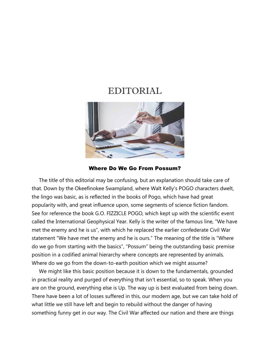### EDITORIAL



### Where Do We Go From Possum?

 The title of this editorial may be confusing, but an explanation should take care of that. Down by the Okeefinokee Swampland, where Walt Kelly's POGO characters dwelt, the lingo was basic, as is reflected in the books of Pogo, which have had great popularity with, and great influence upon, some segments of science fiction fandom. See for reference the book G.O. FIZZICLE POGO, which kept up with the scientific event called the International Geophysical Year. Kelly is the writer of the famous line, "We have met the enemy and he is us", with which he replaced the earlier confederate Civil War statement "We have met the enemy and he is ours." The meaning of the title is "Where do we go from starting with the basics", "Possum" being the outstanding basic premise position in a codified animal hierarchy where concepts are represented by animals. Where do we go from the down-to-earth position which we might assume?

 We might like this basic position because it is down to the fundamentals, grounded in practical reality and purged of everything that isn't essential, so to speak. When you are on the ground, everything else is Up. The way up is best evaluated from being down. There have been a lot of losses suffered in this, our modern age, but we can take hold of what little we still have left and begin to rebuild without the danger of having something funny get in our way. The Civil War affected our nation and there are things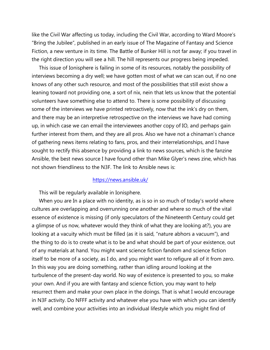like the Civil War affecting us today, including the Civil War, according to Ward Moore's "Bring the Jubilee", published in an early issue of The Magazine of Fantasy and Science Fiction, a new venture in its time. The Battle of Bunker Hill is not far away; if you travel in the right direction you will see a hill. The hill represents our progress being impeded.

 This issue of Ionisphere is failing in some of its resources, notably the possibility of interviews becoming a dry well; we have gotten most of what we can scan out, if no one knows of any other such resource, and most of the possibilities that still exist show a leaning toward not providing one, a sort of nix, nein that lets us know that the potential volunteers have something else to attend to. There is some possibility of discussing some of the interviews we have printed retroactively, now that the ink's dry on them, and there may be an interpretive retrospective on the interviews we have had coming up, in which case we can email the interviewees another copy of IO, and perhaps gain further interest from them, and they are all pros. Also we have not a chinaman's chance of gathering news items relating to fans, pros, and their interrelationships, and I have sought to rectify this absence by providing a link to news sources, which is the fanzine Ansible, the best news source I have found other than Mike Glyer's news zine, which has not shown friendliness to the N3F. The link to Ansible news is:

### <https://news.ansible.uk/>

This will be regularly available in Ionisphere.

 When you are In a place with no identity, as is so in so much of today's world where cultures are overlapping and overrunning one another and where so much of the vital essence of existence is missing (if only speculators of the Nineteenth Century could get a glimpse of us now, whatever would they think of what they are looking at?), you are looking at a vacuity which must be filled (as it is said, "nature abhors a vacuum"), and the thing to do is to create what is to be and what should be part of your existence, out of any materials at hand. You might want science fiction fandom and science fiction itself to be more of a society, as I do, and you might want to refigure all of it from zero. In this way you are doing something, rather than idling around looking at the turbulence of the present-day world. No way of existence is presented to you, so make your own. And if you are with fantasy and science fiction, you may want to help resurrect them and make your own place in the doings. That is what I would encourage in N3F activity. Do NFFF activity and whatever else you have with which you can identify well, and combine your activities into an individual lifestyle which you might find of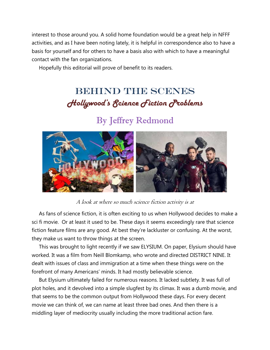interest to those around you. A solid home foundation would be a great help in NFFF activities, and as I have been noting lately, it is helpful in correspondence also to have a basis for yourself and for others to have a basis also with which to have a meaningful contact with the fan organizations.

Hopefully this editorial will prove of benefit to its readers.

# BEHIND THE SCENES *Hollywood's Science Fiction Problems*

# By Jeffrey Redmond



A look at where so much science fiction activity is at

 As fans of science fiction, it is often exciting to us when Hollywood decides to make a sci fi movie. Or at least it used to be. These days it seems exceedingly rare that science fiction feature films are any good. At best they're lackluster or confusing. At the worst, they make us want to throw things at the screen.

 This was brought to light recently if we saw ELYSIUM. On paper, Elysium should have worked. It was a film from Neill Blomkamp, who wrote and directed DISTRICT NINE. It dealt with issues of class and immigration at a time when these things were on the forefront of many Americans' minds. It had mostly believable science.

 But Elysium ultimately failed for numerous reasons. It lacked subtlety. It was full of plot holes, and it devolved into a simple slugfest by its climax. It was a dumb movie, and that seems to be the common output from Hollywood these days. For every decent movie we can think of, we can name at least three bad ones. And then there is a middling layer of mediocrity usually including the more traditional action fare.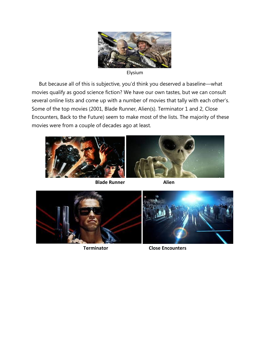

Elysium

 But because all of this is subjective, you'd think you deserved a baseline—what movies qualify as good science fiction? We have our own tastes, but we can consult several online lists and come up with a number of movies that tally with each other's. Some of the top movies (2001, Blade Runner, Alien(s). Terminator 1 and 2, Close Encounters, Back to the Future) seem to make most of the lists. The majority of these movies were from a couple of decades ago at least.









**Terminator Close Encounters**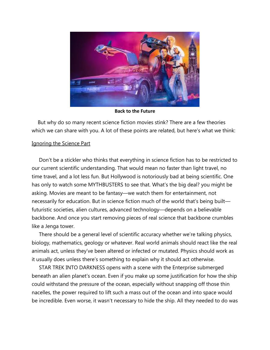

**Back to the Future**

 But why do so many recent science fiction movies stink? There are a few theories which we can share with you. A lot of these points are related, but here's what we think:

### Ignoring the Science Part

 Don't be a stickler who thinks that everything in science fiction has to be restricted to our current scientific understanding. That would mean no faster than light travel, no time travel, and a lot less fun. But Hollywood is notoriously bad at being scientific. One has only to watch some MYTHBUSTERS to see that. What's the big deal? you might be asking. Movies are meant to be fantasy—we watch them for entertainment, not necessarily for education. But in science fiction much of the world that's being built futuristic societies, alien cultures, advanced technology—depends on a believable backbone. And once you start removing pieces of real science that backbone crumbles like a Jenga tower.

 There should be a general level of scientific accuracy whether we're talking physics, biology, mathematics, geology or whatever. Real world animals should react like the real animals act, unless they've been altered or infected or mutated. Physics should work as it usually does unless there's something to explain why it should act otherwise.

 STAR TREK INTO DARKNESS opens with a scene with the Enterprise submerged beneath an alien planet's ocean. Even if you make up some justification for how the ship could withstand the pressure of the ocean, especially without snapping off those thin nacelles, the power required to lift such a mass out of the ocean and into space would be incredible. Even worse, it wasn't necessary to hide the ship. All they needed to do was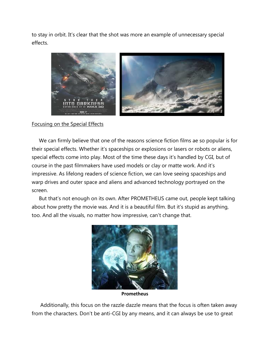to stay in orbit. It's clear that the shot was more an example of unnecessary special effects.



### Focusing on the Special Effects

 We can firmly believe that one of the reasons science fiction films ae so popular is for their special effects. Whether it's spaceships or explosions or lasers or robots or aliens, special effects come into play. Most of the time these days it's handled by CGI, but of course in the past filmmakers have used models or clay or matte work. And it's impressive. As lifelong readers of science fiction, we can love seeing spaceships and warp drives and outer space and aliens and advanced technology portrayed on the screen.

 But that's not enough on its own. After PROMETHEUS came out, people kept talking about how pretty the movie was. And it is a beautiful film. But it's stupid as anything, too. And all the visuals, no matter how impressive, can't change that.



**Prometheus**

 Additionally, this focus on the razzle dazzle means that the focus is often taken away from the characters. Don't be anti-CGI by any means, and it can always be use to great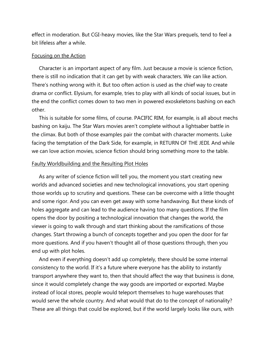effect in moderation. But CGI-heavy movies, like the Star Wars prequels, tend to feel a bit lifeless after a while.

### Focusing on the Action

 Character is an important aspect of any film. Just because a movie is science fiction, there is still no indication that it can get by with weak characters. We can like action. There's nothing wrong with it. But too often action is used as the chief way to create drama or conflict. Elysium, for example, tries to play with all kinds of social issues, but in the end the conflict comes down to two men in powered exoskeletons bashing on each other.

 This is suitable for some films, of course. PACIFIC RIM, for example, is all about mechs bashing on kaiju. The Star Wars movies aren't complete without a lightsaber battle in the climax. But both of those examples pair the combat with character moments. Luke facing the temptation of the Dark Side, for example, in RETURN OF THE JEDI. And while we can love action movies, science fiction should bring something more to the table.

### Faulty Worldbuilding and the Resulting Plot Holes

 As any writer of science fiction will tell you, the moment you start creating new worlds and advanced societies and new technological innovations, you start opening those worlds up to scrutiny and questions. These can be overcome with a little thought and some rigor. And you can even get away with some handwaving. But these kinds of holes aggregate and can lead to the audience having too many questions. If the film opens the door by positing a technological innovation that changes the world, the viewer is going to walk through and start thinking about the ramifications of those changes. Start throwing a bunch of concepts together and you open the door for far more questions. And if you haven't thought all of those questions through, then you end up with plot holes.

 And even if everything doesn't add up completely, there should be some internal consistency to the world. If it's a future where everyone has the ability to instantly transport anywhere they want to, then that should affect the way that business is done, since it would completely change the way goods are imported or exported. Maybe instead of local stores, people would teleport themselves to huge warehouses that would serve the whole country. And what would that do to the concept of nationality? These are all things that could be explored, but if the world largely looks like ours, with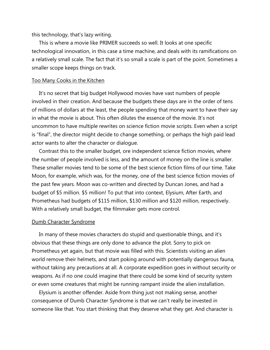this technology, that's lazy writing.

 This is where a movie like PRIMER succeeds so well. It looks at one specific technological innovation, in this case a time machine, and deals with its ramifications on a relatively small scale. The fact that it's so small a scale is part of the point. Sometimes a smaller scope keeps things on track.

### Too Many Cooks in the Kitchen

 It's no secret that big budget Hollywood movies have vast numbers of people involved in their creation. And because the budgets these days are in the order of tens of millions of dollars at the least, the people spending that money want to have their say in what the movie is about. This often dilutes the essence of the movie. It's not uncommon to have multiple rewrites on science fiction movie scripts. Even when a script is "final", the director might decide to change something, or perhaps the high paid lead actor wants to alter the character or dialogue.

 Contrast this to the smaller budget, ore independent science fiction movies, where the number of people involved is less, and the amount of money on the line is smaller. These smaller movies tend to be some of the best science fiction films of our time. Take Moon, for example, which was, for the money, one of the best science fiction movies of the past few years. Moon was co-written and directed by Duncan Jones, and had a budget of \$5 million. \$5 million! To put that into context, Elysium, After Earth, and Prometheus had budgets of \$115 million, \$130 million and \$120 million, respectively. With a relatively small budget, the filmmaker gets more control.

#### Dumb Character Syndrome

 In many of these movies characters do stupid and questionable things, and it's obvious that these things are only done to advance the plot. Sorry to pick on Prometheus yet again, but that movie was filled with this. Scientists visiting an alien world remove their helmets, and start poking around with potentially dangerous fauna, without taking any precautions at all. A corporate expedition goes in without security or weapons. As if no one could imagine that there could be some kind of security system or even some creatures that might be running rampant inside the alien installation.

 Elysium is another offender. Aside from thing just not making sense, another consequence of Dumb Character Syndrome is that we can't really be invested in someone like that. You start thinking that they deserve what they get. And character is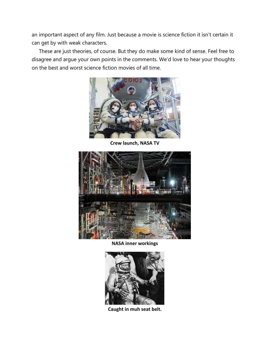an important aspect of any film. Just because a movie is science fiction it isn't certain it can get by with weak characters.

 These are just theories, of course. But they do make some kind of sense. Feel free to disagree and argue your own points in the comments. We'd love to hear your thoughts on the best and worst science fiction movies of all time.



**Crew launch, NASA TV**



**NASA inner workings**



**Caught in muh seat belt.**